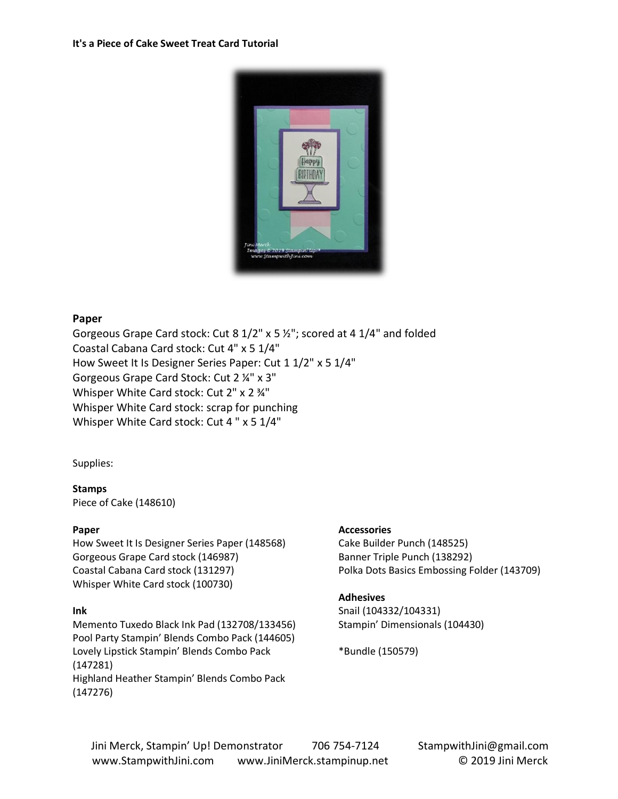

#### **Paper**

Gorgeous Grape Card stock: Cut 8 1/2" x 5 ½"; scored at 4 1/4" and folded Coastal Cabana Card stock: Cut 4" x 5 1/4" How Sweet It Is Designer Series Paper: Cut 1 1/2" x 5 1/4" Gorgeous Grape Card Stock: Cut 2 ¼" x 3" Whisper White Card stock: Cut 2" x 2 34" Whisper White Card stock: scrap for punching Whisper White Card stock: Cut 4 " x 5 1/4"

Supplies:

#### **Stamps**

Piece of Cake (148610)

#### **Paper**

How Sweet It Is Designer Series Paper (148568) Gorgeous Grape Card stock (146987) Coastal Cabana Card stock (131297) Whisper White Card stock (100730)

## **Ink**

Memento Tuxedo Black Ink Pad (132708/133456) Pool Party Stampin' Blends Combo Pack (144605) Lovely Lipstick Stampin' Blends Combo Pack (147281) Highland Heather Stampin' Blends Combo Pack (147276)

## **Accessories**

Cake Builder Punch (148525) Banner Triple Punch (138292) Polka Dots Basics Embossing Folder (143709)

## **Adhesives**

Snail (104332/104331) Stampin' Dimensionals (104430)

\*Bundle (150579)

Jini Merck, Stampin' Up! Demonstrator 706 754-7124 StampwithJini@gmail.com www.StampwithJini.com www.JiniMerck.stampinup.net © 2019 Jini Merck